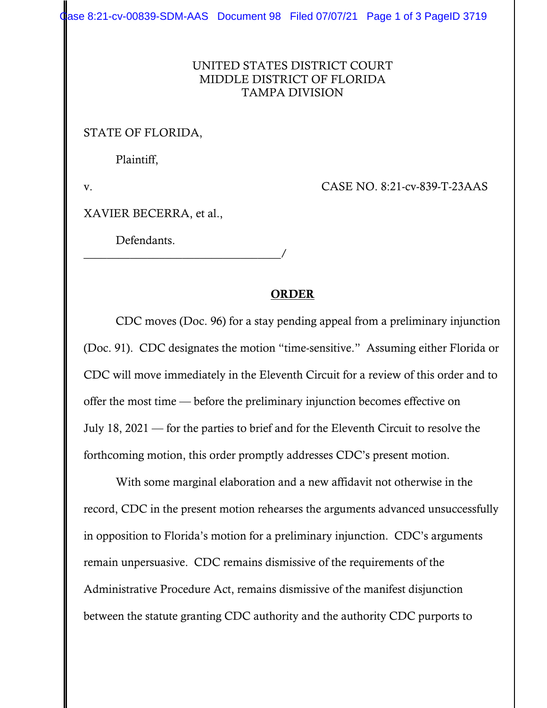Case 8:21-cv-00839-SDM-AAS Document 98 Filed 07/07/21 Page 1 of 3 PageID 3719

## UNITED STATES DISTRICT COURT MIDDLE DISTRICT OF FLORIDA TAMPA DIVISION

## STATE OF FLORIDA,

Plaintiff,

v. CASE NO. 8:21-cv-839-T-23AAS

XAVIER BECERRA, et al.,

Defendants.

## \_\_\_\_\_\_\_\_\_\_\_\_\_\_\_\_\_\_\_\_\_\_\_\_\_\_\_\_\_\_\_\_\_\_/

## ORDER

 CDC moves (Doc. 96) for a stay pending appeal from a preliminary injunction (Doc. 91). CDC designates the motion "time-sensitive." Assuming either Florida or CDC will move immediately in the Eleventh Circuit for a review of this order and to offer the most time — before the preliminary injunction becomes effective on July 18, 2021 — for the parties to brief and for the Eleventh Circuit to resolve the forthcoming motion, this order promptly addresses CDC's present motion.

 With some marginal elaboration and a new affidavit not otherwise in the record, CDC in the present motion rehearses the arguments advanced unsuccessfully in opposition to Florida's motion for a preliminary injunction. CDC's arguments remain unpersuasive. CDC remains dismissive of the requirements of the Administrative Procedure Act, remains dismissive of the manifest disjunction between the statute granting CDC authority and the authority CDC purports to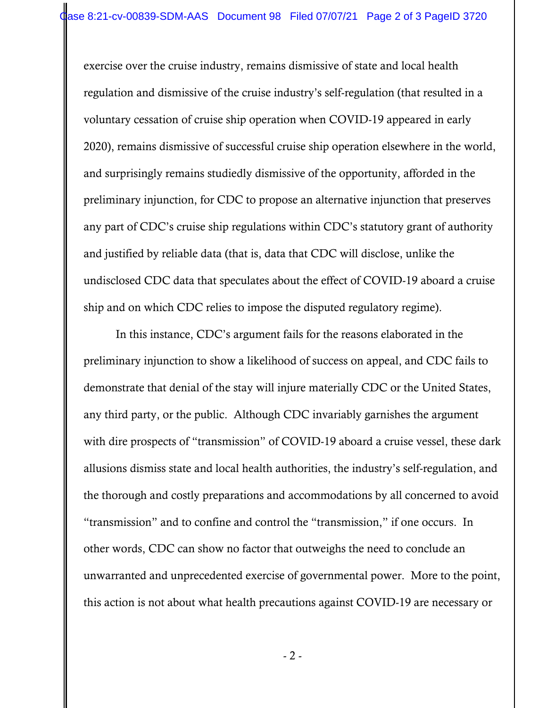exercise over the cruise industry, remains dismissive of state and local health regulation and dismissive of the cruise industry's self-regulation (that resulted in a voluntary cessation of cruise ship operation when COVID-19 appeared in early 2020), remains dismissive of successful cruise ship operation elsewhere in the world, and surprisingly remains studiedly dismissive of the opportunity, afforded in the preliminary injunction, for CDC to propose an alternative injunction that preserves any part of CDC's cruise ship regulations within CDC's statutory grant of authority and justified by reliable data (that is, data that CDC will disclose, unlike the undisclosed CDC data that speculates about the effect of COVID-19 aboard a cruise ship and on which CDC relies to impose the disputed regulatory regime).

 In this instance, CDC's argument fails for the reasons elaborated in the preliminary injunction to show a likelihood of success on appeal, and CDC fails to demonstrate that denial of the stay will injure materially CDC or the United States, any third party, or the public. Although CDC invariably garnishes the argument with dire prospects of "transmission" of COVID-19 aboard a cruise vessel, these dark allusions dismiss state and local health authorities, the industry's self-regulation, and the thorough and costly preparations and accommodations by all concerned to avoid "transmission" and to confine and control the "transmission," if one occurs. In other words, CDC can show no factor that outweighs the need to conclude an unwarranted and unprecedented exercise of governmental power. More to the point, this action is not about what health precautions against COVID-19 are necessary or